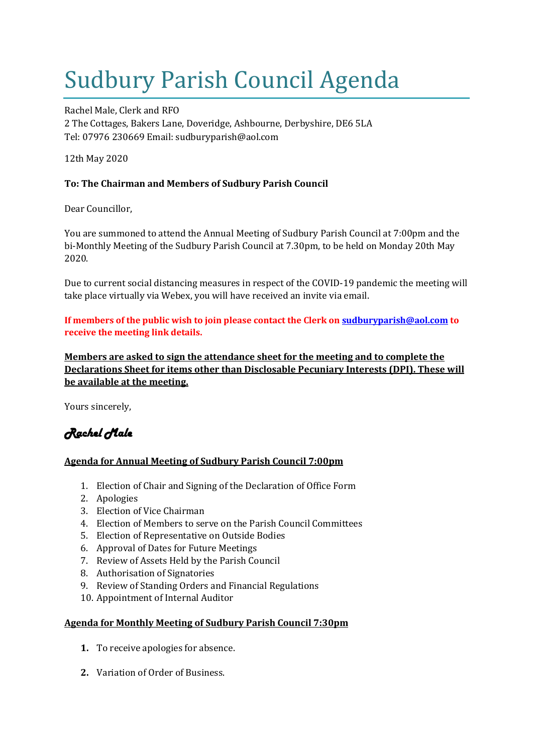# Sudbury Parish Council Agenda

Rachel Male, Clerk and RFO 2 The Cottages, Bakers Lane, Doveridge, Ashbourne, Derbyshire, DE6 5LA Tel: 07976 230669 Email: sudburyparish@aol.com

12th May 2020

## **To: The Chairman and Members of Sudbury Parish Council**

Dear Councillor,

You are summoned to attend the Annual Meeting of Sudbury Parish Council at 7:00pm and the bi-Monthly Meeting of the Sudbury Parish Council at 7.30pm, to be held on Monday 20th May 2020.

Due to current social distancing measures in respect of the COVID-19 pandemic the meeting will take place virtually via Webex, you will have received an invite via email.

**If members of the public wish to join please contact the Clerk on [sudburyparish@aol.com](mailto:sudburyparish@aol.com) to receive the meeting link details.**

**Members are asked to sign the attendance sheet for the meeting and to complete the Declarations Sheet for items other than Disclosable Pecuniary Interests (DPI). These will be available at the meeting.**

Yours sincerely,

## *Rachel Male*

### **Agenda for Annual Meeting of Sudbury Parish Council 7:00pm**

- 1. Election of Chair and Signing of the Declaration of Office Form
- 2. Apologies
- 3. Election of Vice Chairman
- 4. Election of Members to serve on the Parish Council Committees
- 5. Election of Representative on Outside Bodies
- 6. Approval of Dates for Future Meetings
- 7. Review of Assets Held by the Parish Council
- 8. Authorisation of Signatories
- 9. Review of Standing Orders and Financial Regulations
- 10. Appointment of Internal Auditor

#### **Agenda for Monthly Meeting of Sudbury Parish Council 7:30pm**

- **1.** To receive apologies for absence.
- **2.** Variation of Order of Business.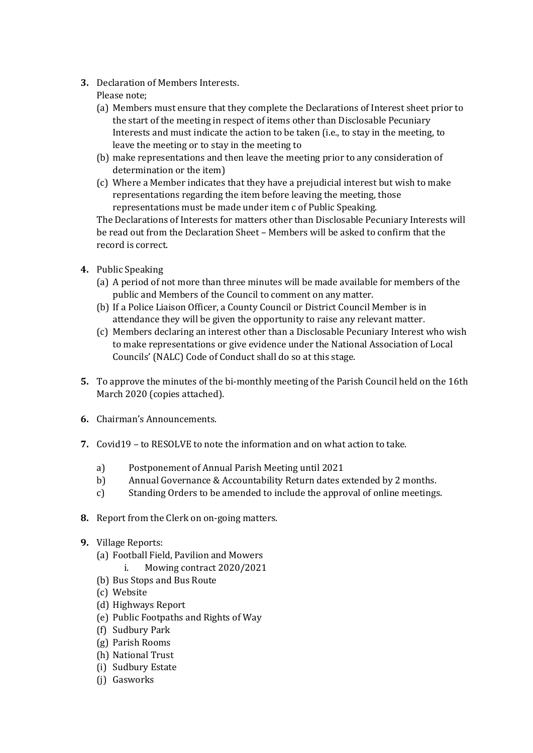- **3.** Declaration of Members Interests.
	- Please note;
	- (a) Members must ensure that they complete the Declarations of Interest sheet prior to the start of the meeting in respect of items other than Disclosable Pecuniary Interests and must indicate the action to be taken (i.e., to stay in the meeting, to leave the meeting or to stay in the meeting to
	- (b) make representations and then leave the meeting prior to any consideration of determination or the item)
	- (c) Where a Member indicates that they have a prejudicial interest but wish to make representations regarding the item before leaving the meeting, those representations must be made under item c of Public Speaking.

The Declarations of Interests for matters other than Disclosable Pecuniary Interests will be read out from the Declaration Sheet – Members will be asked to confirm that the record is correct.

- **4.** Public Speaking
	- (a) A period of not more than three minutes will be made available for members of the public and Members of the Council to comment on any matter.
	- (b) If a Police Liaison Officer, a County Council or District Council Member is in attendance they will be given the opportunity to raise any relevant matter.
	- (c) Members declaring an interest other than a Disclosable Pecuniary Interest who wish to make representations or give evidence under the National Association of Local Councils' (NALC) Code of Conduct shall do so at this stage.
- **5.** To approve the minutes of the bi-monthly meeting of the Parish Council held on the 16th March 2020 (copies attached).
- **6.** Chairman's Announcements.
- **7.** Covid19 to RESOLVE to note the information and on what action to take.
	- a) Postponement of Annual Parish Meeting until 2021
	- b) Annual Governance & Accountability Return dates extended by 2 months.
	- c) Standing Orders to be amended to include the approval of online meetings.
- **8.** Report from the Clerk on on-going matters.
- **9.** Village Reports:
	- (a) Football Field, Pavilion and Mowers
		- i. Mowing contract 2020/2021
	- (b) Bus Stops and Bus Route
	- (c) Website
	- (d) Highways Report
	- (e) Public Footpaths and Rights of Way
	- (f) Sudbury Park
	- (g) Parish Rooms
	- (h) National Trust
	- (i) Sudbury Estate
	- (j) Gasworks